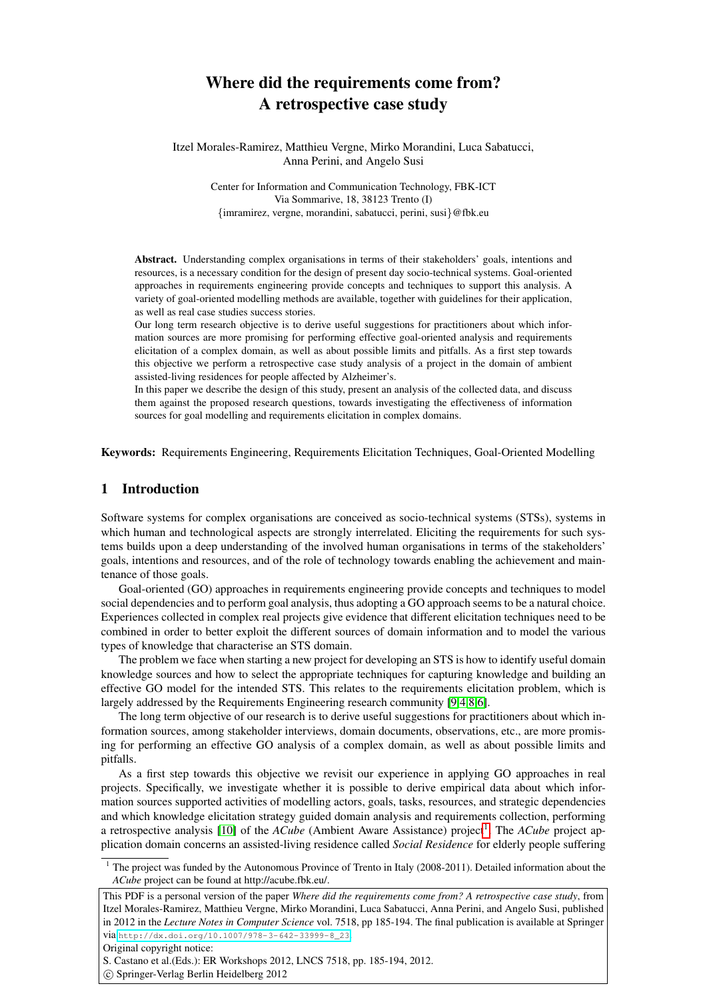# Where did the requirements come from? A retrospective case study

Itzel Morales-Ramirez, Matthieu Vergne, Mirko Morandini, Luca Sabatucci, Anna Perini, and Angelo Susi

> Center for Information and Communication Technology, FBK-ICT Via Sommarive, 18, 38123 Trento (I) {imramirez, vergne, morandini, sabatucci, perini, susi}@fbk.eu

Abstract. Understanding complex organisations in terms of their stakeholders' goals, intentions and resources, is a necessary condition for the design of present day socio-technical systems. Goal-oriented approaches in requirements engineering provide concepts and techniques to support this analysis. A variety of goal-oriented modelling methods are available, together with guidelines for their application, as well as real case studies success stories.

Our long term research objective is to derive useful suggestions for practitioners about which information sources are more promising for performing effective goal-oriented analysis and requirements elicitation of a complex domain, as well as about possible limits and pitfalls. As a first step towards this objective we perform a retrospective case study analysis of a project in the domain of ambient assisted-living residences for people affected by Alzheimer's.

In this paper we describe the design of this study, present an analysis of the collected data, and discuss them against the proposed research questions, towards investigating the effectiveness of information sources for goal modelling and requirements elicitation in complex domains.

Keywords: Requirements Engineering, Requirements Elicitation Techniques, Goal-Oriented Modelling

### 1 Introduction

Software systems for complex organisations are conceived as socio-technical systems (STSs), systems in which human and technological aspects are strongly interrelated. Eliciting the requirements for such systems builds upon a deep understanding of the involved human organisations in terms of the stakeholders' goals, intentions and resources, and of the role of technology towards enabling the achievement and maintenance of those goals.

Goal-oriented (GO) approaches in requirements engineering provide concepts and techniques to model social dependencies and to perform goal analysis, thus adopting a GO approach seems to be a natural choice. Experiences collected in complex real projects give evidence that different elicitation techniques need to be combined in order to better exploit the different sources of domain information and to model the various types of knowledge that characterise an STS domain.

The problem we face when starting a new project for developing an STS is how to identify useful domain knowledge sources and how to select the appropriate techniques for capturing knowledge and building an effective GO model for the intended STS. This relates to the requirements elicitation problem, which is largely addressed by the Requirements Engineering research community [\[9](#page-7-0)[,4](#page-6-0)[,8,](#page-7-1)[6\]](#page-6-1).

The long term objective of our research is to derive useful suggestions for practitioners about which information sources, among stakeholder interviews, domain documents, observations, etc., are more promising for performing an effective GO analysis of a complex domain, as well as about possible limits and pitfalls.

As a first step towards this objective we revisit our experience in applying GO approaches in real projects. Specifically, we investigate whether it is possible to derive empirical data about which information sources supported activities of modelling actors, goals, tasks, resources, and strategic dependencies and which knowledge elicitation strategy guided domain analysis and requirements collection, performing a retrospective analysis [\[10\]](#page-7-2) of the *ACube* (Ambient Aware Assistance) project<sup>[1](#page-0-0)</sup>. The *ACube* project application domain concerns an assisted-living residence called *Social Residence* for elderly people suffering

Original copyright notice:

S. Castano et al.(Eds.): ER Workshops 2012, LNCS 7518, pp. 185-194, 2012.

c Springer-Verlag Berlin Heidelberg 2012

<span id="page-0-0"></span><sup>&</sup>lt;sup>1</sup> The project was funded by the Autonomous Province of Trento in Italy (2008-2011). Detailed information about the *ACube* project can be found at http://acube.fbk.eu/.

This PDF is a personal version of the paper *Where did the requirements come from? A retrospective case study*, from Itzel Morales-Ramirez, Matthieu Vergne, Mirko Morandini, Luca Sabatucci, Anna Perini, and Angelo Susi, published in 2012 in the *Lecture Notes in Computer Science* vol. 7518, pp 185-194. The final publication is available at Springer via [http://dx.doi.org/10.1007/978-3-642-33999-8\\_23](http://dx.doi.org/10.1007/978-3-642-33999-8_23).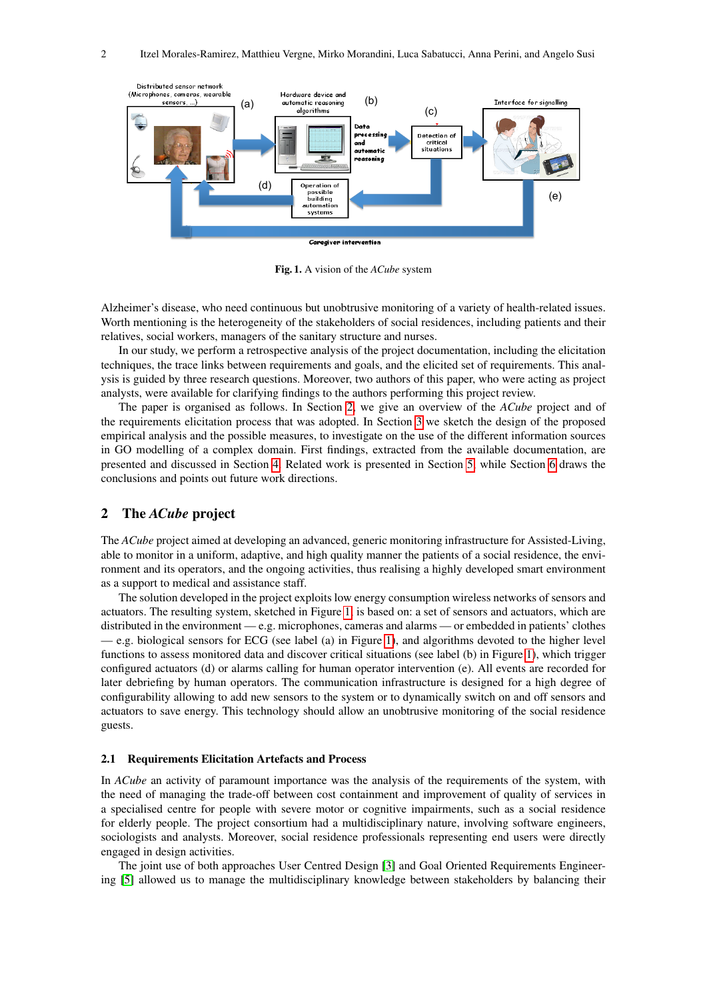

<span id="page-1-1"></span>Fig. 1. A vision of the *ACube* system

Alzheimer's disease, who need continuous but unobtrusive monitoring of a variety of health-related issues. Worth mentioning is the heterogeneity of the stakeholders of social residences, including patients and their relatives, social workers, managers of the sanitary structure and nurses.

In our study, we perform a retrospective analysis of the project documentation, including the elicitation techniques, the trace links between requirements and goals, and the elicited set of requirements. This analysis is guided by three research questions. Moreover, two authors of this paper, who were acting as project analysts, were available for clarifying findings to the authors performing this project review.

The paper is organised as follows. In Section [2,](#page-1-0) we give an overview of the *ACube* project and of the requirements elicitation process that was adopted. In Section [3](#page-3-0) we sketch the design of the proposed empirical analysis and the possible measures, to investigate on the use of the different information sources in GO modelling of a complex domain. First findings, extracted from the available documentation, are presented and discussed in Section [4.](#page-4-0) Related work is presented in Section [5,](#page-6-2) while Section [6](#page-6-3) draws the conclusions and points out future work directions.

## <span id="page-1-0"></span>2 The *ACube* project

The *ACube* project aimed at developing an advanced, generic monitoring infrastructure for Assisted-Living, able to monitor in a uniform, adaptive, and high quality manner the patients of a social residence, the environment and its operators, and the ongoing activities, thus realising a highly developed smart environment as a support to medical and assistance staff.

The solution developed in the project exploits low energy consumption wireless networks of sensors and actuators. The resulting system, sketched in Figure [1,](#page-1-1) is based on: a set of sensors and actuators, which are distributed in the environment — e.g. microphones, cameras and alarms — or embedded in patients' clothes — e.g. biological sensors for ECG (see label (a) in Figure [1\)](#page-1-1), and algorithms devoted to the higher level functions to assess monitored data and discover critical situations (see label (b) in Figure [1\)](#page-1-1), which trigger configured actuators (d) or alarms calling for human operator intervention (e). All events are recorded for later debriefing by human operators. The communication infrastructure is designed for a high degree of configurability allowing to add new sensors to the system or to dynamically switch on and off sensors and actuators to save energy. This technology should allow an unobtrusive monitoring of the social residence guests.

#### 2.1 Requirements Elicitation Artefacts and Process

In *ACube* an activity of paramount importance was the analysis of the requirements of the system, with the need of managing the trade-off between cost containment and improvement of quality of services in a specialised centre for people with severe motor or cognitive impairments, such as a social residence for elderly people. The project consortium had a multidisciplinary nature, involving software engineers, sociologists and analysts. Moreover, social residence professionals representing end users were directly engaged in design activities.

The joint use of both approaches User Centred Design [\[3\]](#page-6-4) and Goal Oriented Requirements Engineering [\[5\]](#page-6-5) allowed us to manage the multidisciplinary knowledge between stakeholders by balancing their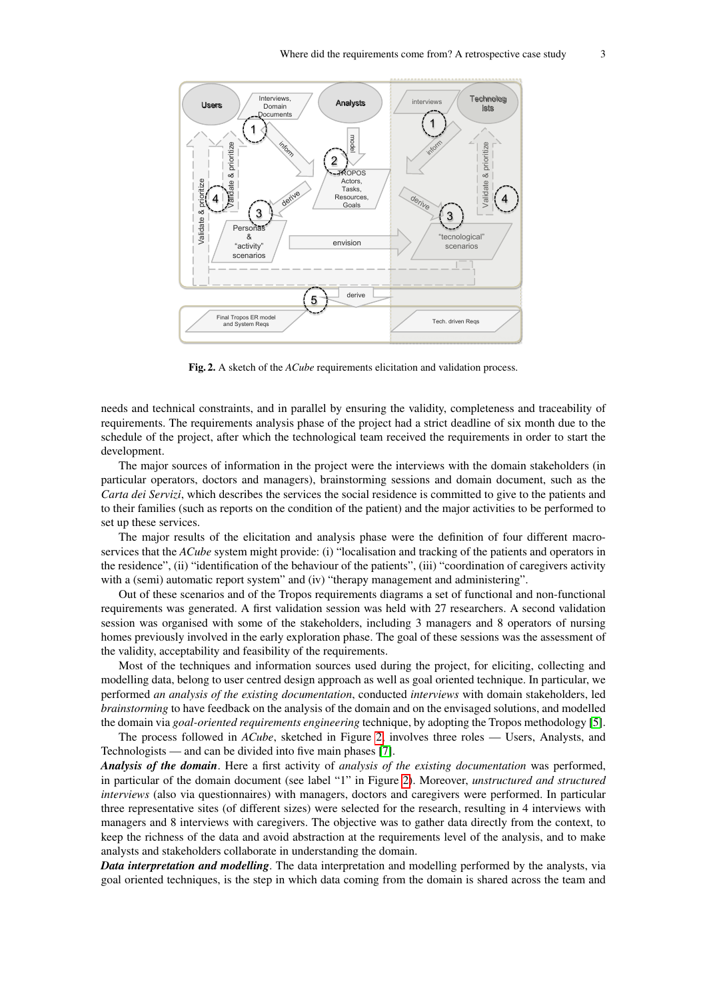

<span id="page-2-0"></span>Fig. 2. A sketch of the *ACube* requirements elicitation and validation process.

needs and technical constraints, and in parallel by ensuring the validity, completeness and traceability of requirements. The requirements analysis phase of the project had a strict deadline of six month due to the schedule of the project, after which the technological team received the requirements in order to start the development.

The major sources of information in the project were the interviews with the domain stakeholders (in particular operators, doctors and managers), brainstorming sessions and domain document, such as the *Carta dei Servizi*, which describes the services the social residence is committed to give to the patients and to their families (such as reports on the condition of the patient) and the major activities to be performed to set up these services.

The major results of the elicitation and analysis phase were the definition of four different macroservices that the *ACube* system might provide: (i) "localisation and tracking of the patients and operators in the residence", (ii) "identification of the behaviour of the patients", (iii) "coordination of caregivers activity with a (semi) automatic report system" and (iv) "therapy management and administering".

Out of these scenarios and of the Tropos requirements diagrams a set of functional and non-functional requirements was generated. A first validation session was held with 27 researchers. A second validation session was organised with some of the stakeholders, including 3 managers and 8 operators of nursing homes previously involved in the early exploration phase. The goal of these sessions was the assessment of the validity, acceptability and feasibility of the requirements.

Most of the techniques and information sources used during the project, for eliciting, collecting and modelling data, belong to user centred design approach as well as goal oriented technique. In particular, we performed *an analysis of the existing documentation*, conducted *interviews* with domain stakeholders, led *brainstorming* to have feedback on the analysis of the domain and on the envisaged solutions, and modelled the domain via *goal-oriented requirements engineering* technique, by adopting the Tropos methodology [\[5\]](#page-6-5).

The process followed in *ACube*, sketched in Figure [2,](#page-2-0) involves three roles — Users, Analysts, and Technologists — and can be divided into five main phases [\[7\]](#page-7-3).

*Analysis of the domain*. Here a first activity of *analysis of the existing documentation* was performed, in particular of the domain document (see label "1" in Figure [2\)](#page-2-0). Moreover, *unstructured and structured interviews* (also via questionnaires) with managers, doctors and caregivers were performed. In particular three representative sites (of different sizes) were selected for the research, resulting in 4 interviews with managers and 8 interviews with caregivers. The objective was to gather data directly from the context, to keep the richness of the data and avoid abstraction at the requirements level of the analysis, and to make analysts and stakeholders collaborate in understanding the domain.

*Data interpretation and modelling*. The data interpretation and modelling performed by the analysts, via goal oriented techniques, is the step in which data coming from the domain is shared across the team and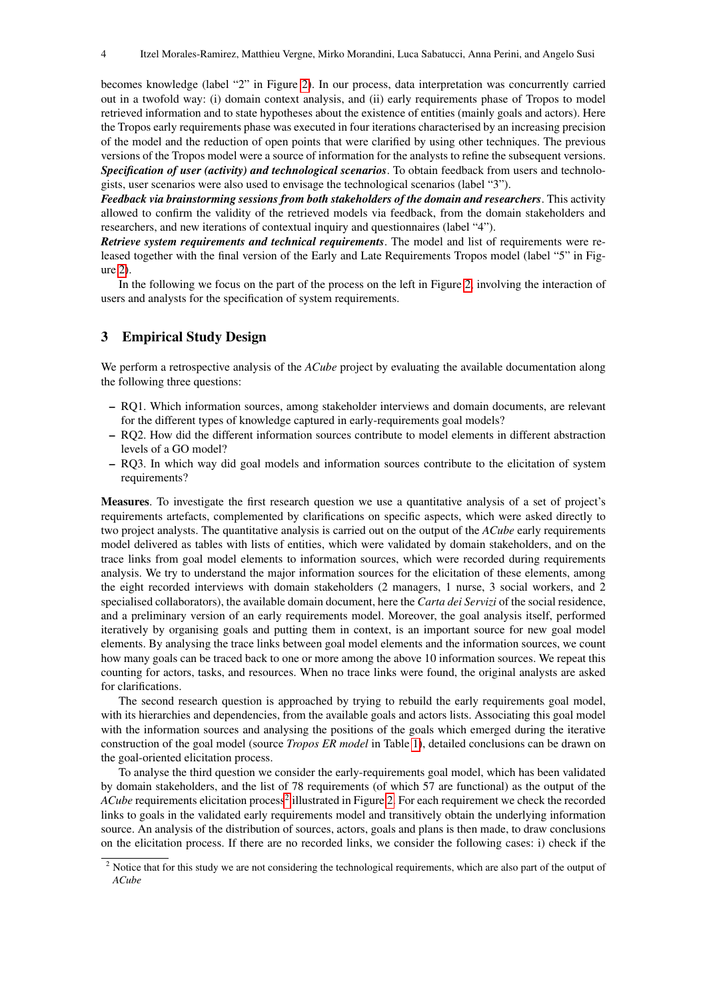becomes knowledge (label "2" in Figure [2\)](#page-2-0). In our process, data interpretation was concurrently carried out in a twofold way: (i) domain context analysis, and (ii) early requirements phase of Tropos to model retrieved information and to state hypotheses about the existence of entities (mainly goals and actors). Here the Tropos early requirements phase was executed in four iterations characterised by an increasing precision of the model and the reduction of open points that were clarified by using other techniques. The previous versions of the Tropos model were a source of information for the analysts to refine the subsequent versions. *Specification of user (activity) and technological scenarios*. To obtain feedback from users and technologists, user scenarios were also used to envisage the technological scenarios (label "3").

*Feedback via brainstorming sessions from both stakeholders of the domain and researchers*. This activity allowed to confirm the validity of the retrieved models via feedback, from the domain stakeholders and researchers, and new iterations of contextual inquiry and questionnaires (label "4").

*Retrieve system requirements and technical requirements*. The model and list of requirements were released together with the final version of the Early and Late Requirements Tropos model (label "5" in Figure [2\)](#page-2-0).

In the following we focus on the part of the process on the left in Figure [2,](#page-2-0) involving the interaction of users and analysts for the specification of system requirements.

# <span id="page-3-0"></span>3 Empirical Study Design

We perform a retrospective analysis of the *ACube* project by evaluating the available documentation along the following three questions:

- RQ1. Which information sources, among stakeholder interviews and domain documents, are relevant for the different types of knowledge captured in early-requirements goal models?
- RQ2. How did the different information sources contribute to model elements in different abstraction levels of a GO model?
- RQ3. In which way did goal models and information sources contribute to the elicitation of system requirements?

Measures. To investigate the first research question we use a quantitative analysis of a set of project's requirements artefacts, complemented by clarifications on specific aspects, which were asked directly to two project analysts. The quantitative analysis is carried out on the output of the *ACube* early requirements model delivered as tables with lists of entities, which were validated by domain stakeholders, and on the trace links from goal model elements to information sources, which were recorded during requirements analysis. We try to understand the major information sources for the elicitation of these elements, among the eight recorded interviews with domain stakeholders (2 managers, 1 nurse, 3 social workers, and 2 specialised collaborators), the available domain document, here the *Carta dei Servizi* of the social residence, and a preliminary version of an early requirements model. Moreover, the goal analysis itself, performed iteratively by organising goals and putting them in context, is an important source for new goal model elements. By analysing the trace links between goal model elements and the information sources, we count how many goals can be traced back to one or more among the above 10 information sources. We repeat this counting for actors, tasks, and resources. When no trace links were found, the original analysts are asked for clarifications.

The second research question is approached by trying to rebuild the early requirements goal model, with its hierarchies and dependencies, from the available goals and actors lists. Associating this goal model with the information sources and analysing the positions of the goals which emerged during the iterative construction of the goal model (source *Tropos ER model* in Table [1\)](#page-4-1), detailed conclusions can be drawn on the goal-oriented elicitation process.

To analyse the third question we consider the early-requirements goal model, which has been validated by domain stakeholders, and the list of 78 requirements (of which 57 are functional) as the output of the ACube requirements elicitation process<sup>[2](#page-3-1)</sup> illustrated in Figure [2.](#page-2-0) For each requirement we check the recorded links to goals in the validated early requirements model and transitively obtain the underlying information source. An analysis of the distribution of sources, actors, goals and plans is then made, to draw conclusions on the elicitation process. If there are no recorded links, we consider the following cases: i) check if the

<span id="page-3-1"></span><sup>&</sup>lt;sup>2</sup> Notice that for this study we are not considering the technological requirements, which are also part of the output of *ACube*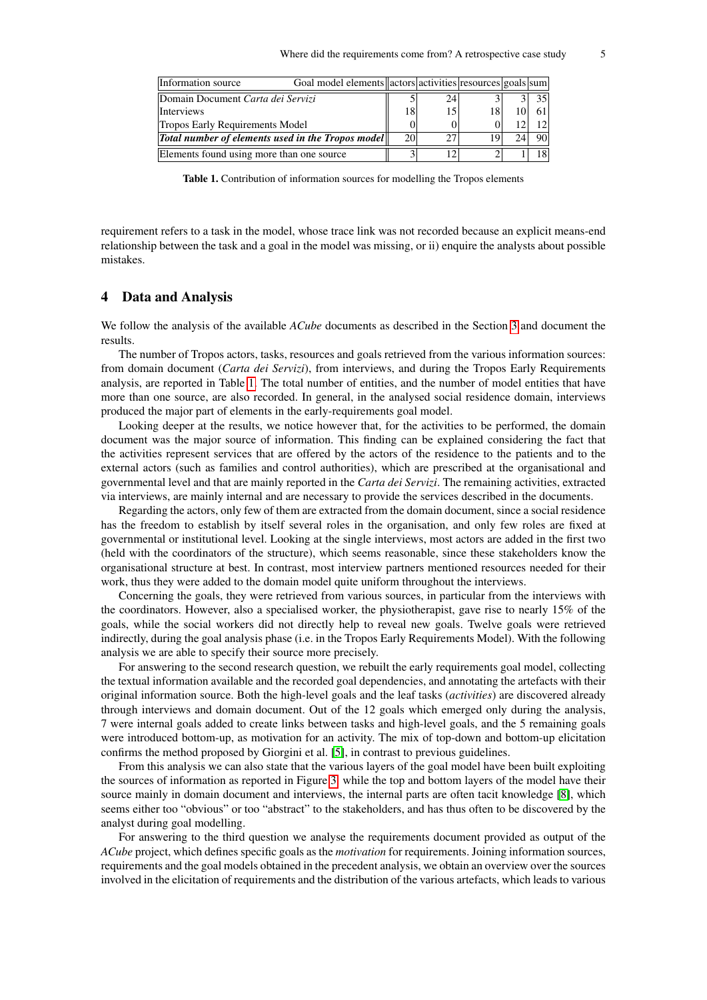| Information source                                | Goal model elements activities resources goals sum |    |    |    |    |
|---------------------------------------------------|----------------------------------------------------|----|----|----|----|
| Domain Document Carta dei Servizi                 |                                                    |    | 24 |    |    |
| <b>Interviews</b>                                 |                                                    | 18 | 15 | 18 |    |
| Tropos Early Requirements Model                   |                                                    |    |    |    |    |
| Total number of elements used in the Tropos model |                                                    | 20 | 27 | 19 | 90 |
| Elements found using more than one source         |                                                    |    |    |    |    |

<span id="page-4-1"></span>Table 1. Contribution of information sources for modelling the Tropos elements

requirement refers to a task in the model, whose trace link was not recorded because an explicit means-end relationship between the task and a goal in the model was missing, or ii) enquire the analysts about possible mistakes.

#### <span id="page-4-0"></span>4 Data and Analysis

We follow the analysis of the available *ACube* documents as described in the Section [3](#page-3-0) and document the results.

The number of Tropos actors, tasks, resources and goals retrieved from the various information sources: from domain document (*Carta dei Servizi*), from interviews, and during the Tropos Early Requirements analysis, are reported in Table [1.](#page-4-1) The total number of entities, and the number of model entities that have more than one source, are also recorded. In general, in the analysed social residence domain, interviews produced the major part of elements in the early-requirements goal model.

Looking deeper at the results, we notice however that, for the activities to be performed, the domain document was the major source of information. This finding can be explained considering the fact that the activities represent services that are offered by the actors of the residence to the patients and to the external actors (such as families and control authorities), which are prescribed at the organisational and governmental level and that are mainly reported in the *Carta dei Servizi*. The remaining activities, extracted via interviews, are mainly internal and are necessary to provide the services described in the documents.

Regarding the actors, only few of them are extracted from the domain document, since a social residence has the freedom to establish by itself several roles in the organisation, and only few roles are fixed at governmental or institutional level. Looking at the single interviews, most actors are added in the first two (held with the coordinators of the structure), which seems reasonable, since these stakeholders know the organisational structure at best. In contrast, most interview partners mentioned resources needed for their work, thus they were added to the domain model quite uniform throughout the interviews.

Concerning the goals, they were retrieved from various sources, in particular from the interviews with the coordinators. However, also a specialised worker, the physiotherapist, gave rise to nearly 15% of the goals, while the social workers did not directly help to reveal new goals. Twelve goals were retrieved indirectly, during the goal analysis phase (i.e. in the Tropos Early Requirements Model). With the following analysis we are able to specify their source more precisely.

For answering to the second research question, we rebuilt the early requirements goal model, collecting the textual information available and the recorded goal dependencies, and annotating the artefacts with their original information source. Both the high-level goals and the leaf tasks (*activities*) are discovered already through interviews and domain document. Out of the 12 goals which emerged only during the analysis, 7 were internal goals added to create links between tasks and high-level goals, and the 5 remaining goals were introduced bottom-up, as motivation for an activity. The mix of top-down and bottom-up elicitation confirms the method proposed by Giorgini et al. [\[5\]](#page-6-5), in contrast to previous guidelines.

From this analysis we can also state that the various layers of the goal model have been built exploiting the sources of information as reported in Figure [3:](#page-5-0) while the top and bottom layers of the model have their source mainly in domain document and interviews, the internal parts are often tacit knowledge [\[8\]](#page-7-1), which seems either too "obvious" or too "abstract" to the stakeholders, and has thus often to be discovered by the analyst during goal modelling.

For answering to the third question we analyse the requirements document provided as output of the *ACube* project, which defines specific goals as the *motivation* for requirements. Joining information sources, requirements and the goal models obtained in the precedent analysis, we obtain an overview over the sources involved in the elicitation of requirements and the distribution of the various artefacts, which leads to various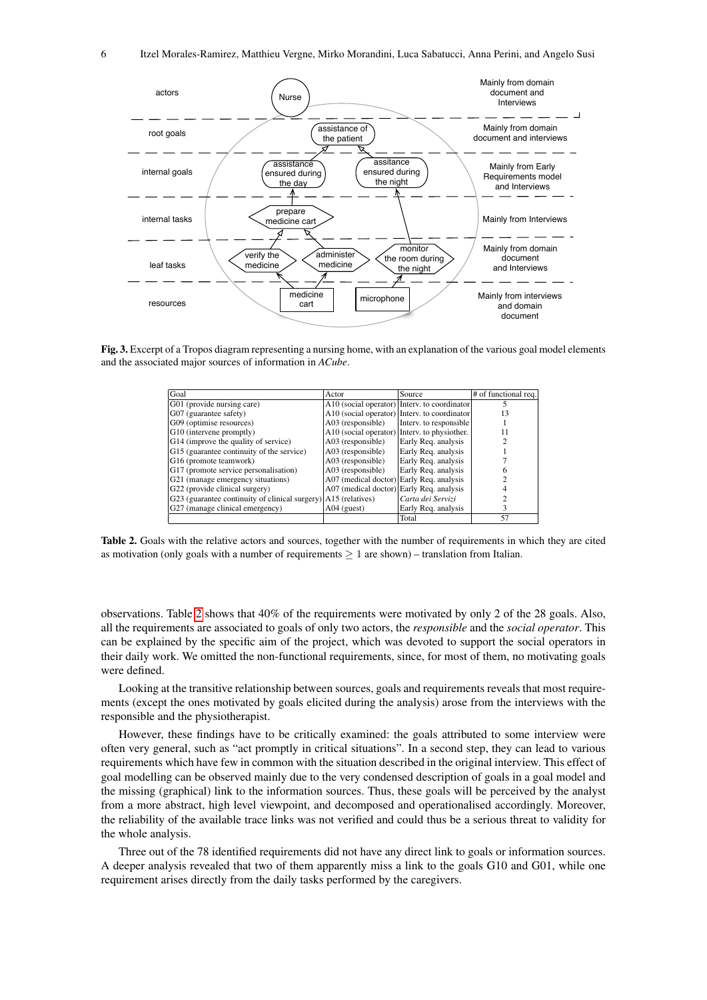

<span id="page-5-0"></span>Fig. 3. Excerpt of a Tropos diagram representing a nursing home, with an explanation of the various goal model elements and the associated major sources of information in *ACube*.

| Goal                                                           | Actor                                        | Source                 | # of functional req. |
|----------------------------------------------------------------|----------------------------------------------|------------------------|----------------------|
| G01 (provide nursing care)                                     | A10 (social operator) Interv. to coordinator |                        |                      |
| G07 (guarantee safety)                                         | A10 (social operator) Interv. to coordinator |                        | 13                   |
| G09 (optimise resources)                                       | A03 (responsible)                            | Interv. to responsible |                      |
| G10 (intervene promptly)                                       | A10 (social operator) Interv. to physiother. |                        |                      |
| G14 (improve the quality of service)                           | A03 (responsible)                            | Early Req. analysis    |                      |
| G15 (guarantee continuity of the service)                      | A03 (responsible)                            | Early Req. analysis    |                      |
| G16 (promote teamwork)                                         | A03 (responsible)                            | Early Req. analysis    |                      |
| G17 (promote service personalisation)                          | A03 (responsible)                            | Early Req. analysis    |                      |
| G21 (manage emergency situations)                              | A07 (medical doctor) Early Req. analysis     |                        |                      |
| G22 (provide clinical surgery)                                 | A07 (medical doctor) Early Req. analysis     |                        |                      |
| G23 (guarantee continuity of clinical surgery) A15 (relatives) |                                              | Carta dei Servizi      |                      |
| G27 (manage clinical emergency)                                | $A04$ (guest)                                | Early Req. analysis    |                      |
|                                                                |                                              | Total                  | 57                   |

<span id="page-5-1"></span>Table 2. Goals with the relative actors and sources, together with the number of requirements in which they are cited as motivation (only goals with a number of requirements  $\geq 1$  are shown) – translation from Italian.

observations. Table [2](#page-5-1) shows that 40% of the requirements were motivated by only 2 of the 28 goals. Also, all the requirements are associated to goals of only two actors, the *responsible* and the *social operator*. This can be explained by the specific aim of the project, which was devoted to support the social operators in their daily work. We omitted the non-functional requirements, since, for most of them, no motivating goals were defined.

Looking at the transitive relationship between sources, goals and requirements reveals that most requirements (except the ones motivated by goals elicited during the analysis) arose from the interviews with the responsible and the physiotherapist.

However, these findings have to be critically examined: the goals attributed to some interview were often very general, such as "act promptly in critical situations". In a second step, they can lead to various requirements which have few in common with the situation described in the original interview. This effect of goal modelling can be observed mainly due to the very condensed description of goals in a goal model and the missing (graphical) link to the information sources. Thus, these goals will be perceived by the analyst from a more abstract, high level viewpoint, and decomposed and operationalised accordingly. Moreover, the reliability of the available trace links was not verified and could thus be a serious threat to validity for the whole analysis.

Three out of the 78 identified requirements did not have any direct link to goals or information sources. A deeper analysis revealed that two of them apparently miss a link to the goals G10 and G01, while one requirement arises directly from the daily tasks performed by the caregivers.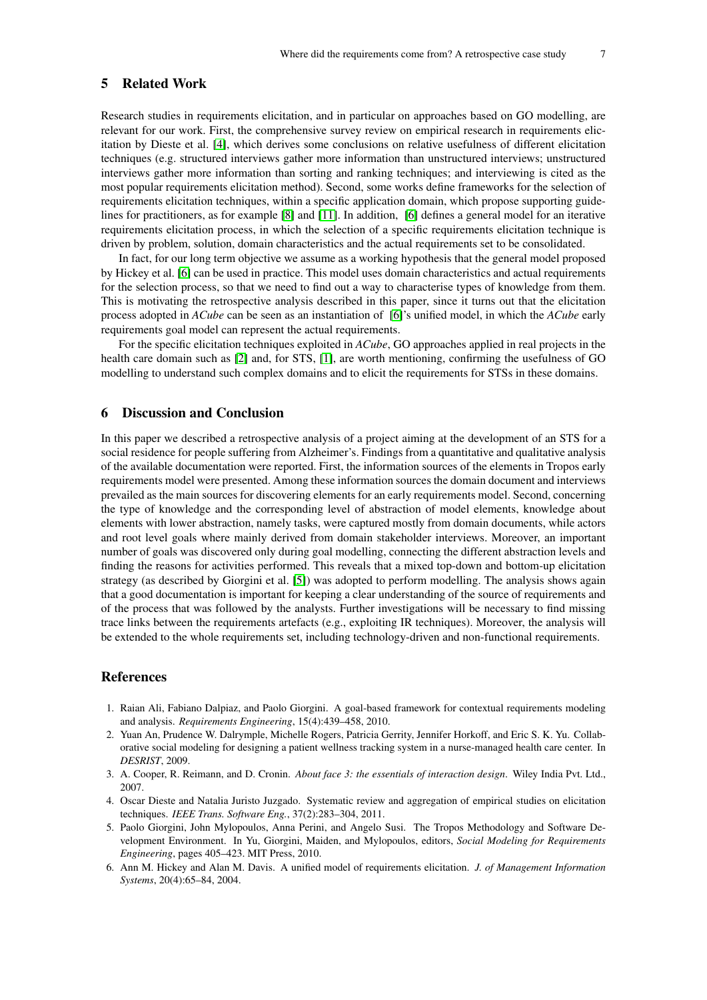### <span id="page-6-2"></span>5 Related Work

Research studies in requirements elicitation, and in particular on approaches based on GO modelling, are relevant for our work. First, the comprehensive survey review on empirical research in requirements elicitation by Dieste et al. [\[4\]](#page-6-0), which derives some conclusions on relative usefulness of different elicitation techniques (e.g. structured interviews gather more information than unstructured interviews; unstructured interviews gather more information than sorting and ranking techniques; and interviewing is cited as the most popular requirements elicitation method). Second, some works define frameworks for the selection of requirements elicitation techniques, within a specific application domain, which propose supporting guidelines for practitioners, as for example [\[8\]](#page-7-1) and [\[11\]](#page-7-4). In addition, [\[6\]](#page-6-1) defines a general model for an iterative requirements elicitation process, in which the selection of a specific requirements elicitation technique is driven by problem, solution, domain characteristics and the actual requirements set to be consolidated.

In fact, for our long term objective we assume as a working hypothesis that the general model proposed by Hickey et al. [\[6\]](#page-6-1) can be used in practice. This model uses domain characteristics and actual requirements for the selection process, so that we need to find out a way to characterise types of knowledge from them. This is motivating the retrospective analysis described in this paper, since it turns out that the elicitation process adopted in *ACube* can be seen as an instantiation of [\[6\]](#page-6-1)'s unified model, in which the *ACube* early requirements goal model can represent the actual requirements.

For the specific elicitation techniques exploited in *ACube*, GO approaches applied in real projects in the health care domain such as [\[2\]](#page-6-6) and, for STS, [\[1\]](#page-6-7), are worth mentioning, confirming the usefulness of GO modelling to understand such complex domains and to elicit the requirements for STSs in these domains.

## <span id="page-6-3"></span>6 Discussion and Conclusion

In this paper we described a retrospective analysis of a project aiming at the development of an STS for a social residence for people suffering from Alzheimer's. Findings from a quantitative and qualitative analysis of the available documentation were reported. First, the information sources of the elements in Tropos early requirements model were presented. Among these information sources the domain document and interviews prevailed as the main sources for discovering elements for an early requirements model. Second, concerning the type of knowledge and the corresponding level of abstraction of model elements, knowledge about elements with lower abstraction, namely tasks, were captured mostly from domain documents, while actors and root level goals where mainly derived from domain stakeholder interviews. Moreover, an important number of goals was discovered only during goal modelling, connecting the different abstraction levels and finding the reasons for activities performed. This reveals that a mixed top-down and bottom-up elicitation strategy (as described by Giorgini et al. [\[5\]](#page-6-5)) was adopted to perform modelling. The analysis shows again that a good documentation is important for keeping a clear understanding of the source of requirements and of the process that was followed by the analysts. Further investigations will be necessary to find missing trace links between the requirements artefacts (e.g., exploiting IR techniques). Moreover, the analysis will be extended to the whole requirements set, including technology-driven and non-functional requirements.

#### References

- <span id="page-6-7"></span>1. Raian Ali, Fabiano Dalpiaz, and Paolo Giorgini. A goal-based framework for contextual requirements modeling and analysis. *Requirements Engineering*, 15(4):439–458, 2010.
- <span id="page-6-6"></span>2. Yuan An, Prudence W. Dalrymple, Michelle Rogers, Patricia Gerrity, Jennifer Horkoff, and Eric S. K. Yu. Collaborative social modeling for designing a patient wellness tracking system in a nurse-managed health care center. In *DESRIST*, 2009.
- <span id="page-6-4"></span>3. A. Cooper, R. Reimann, and D. Cronin. *About face 3: the essentials of interaction design*. Wiley India Pvt. Ltd., 2007.
- <span id="page-6-0"></span>4. Oscar Dieste and Natalia Juristo Juzgado. Systematic review and aggregation of empirical studies on elicitation techniques. *IEEE Trans. Software Eng.*, 37(2):283–304, 2011.
- <span id="page-6-5"></span>5. Paolo Giorgini, John Mylopoulos, Anna Perini, and Angelo Susi. The Tropos Methodology and Software Development Environment. In Yu, Giorgini, Maiden, and Mylopoulos, editors, *Social Modeling for Requirements Engineering*, pages 405–423. MIT Press, 2010.
- <span id="page-6-1"></span>6. Ann M. Hickey and Alan M. Davis. A unified model of requirements elicitation. *J. of Management Information Systems*, 20(4):65–84, 2004.